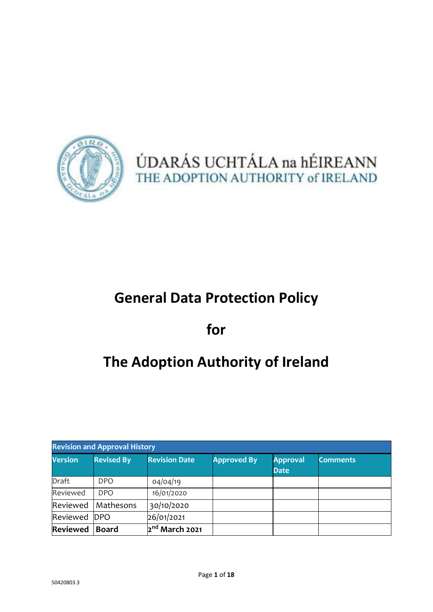

ÚDARÁS UCHTÁLA na hÉIREANN THE ADOPTION AUTHORITY of IRELAND

# **General Data Protection Policy**

# **for**

# **The Adoption Authority of Ireland**

| <b>Revision and Approval History</b> |                   |                            |                    |                                |                 |
|--------------------------------------|-------------------|----------------------------|--------------------|--------------------------------|-----------------|
| <b>Version</b>                       | <b>Revised By</b> | <b>Revision Date</b>       | <b>Approved By</b> | <b>Approval</b><br><b>Date</b> | <b>Comments</b> |
| Draft                                | DPO.              | 04/04/19                   |                    |                                |                 |
| Reviewed                             | <b>DPO</b>        | 16/01/2020                 |                    |                                |                 |
| Reviewed                             | Mathesons         | 30/10/2020                 |                    |                                |                 |
| Reviewed                             | <b>DPO</b>        | 26/01/2021                 |                    |                                |                 |
| <b>Reviewed</b>                      | <b>Board</b>      | 2 <sup>nd</sup> March 2021 |                    |                                |                 |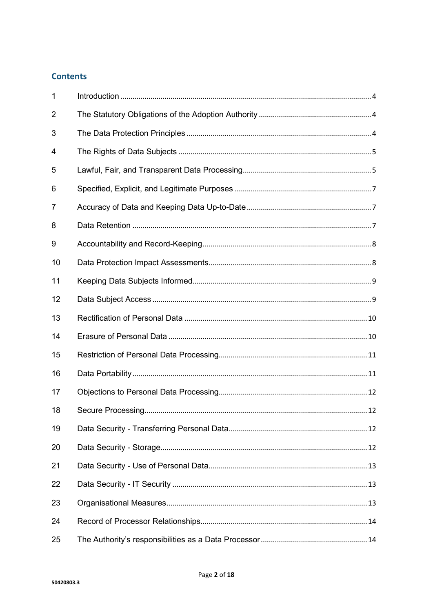# **Contents**

| $\mathbf{1}$   |  |
|----------------|--|
| $\overline{2}$ |  |
| 3              |  |
| 4              |  |
| 5              |  |
| 6              |  |
| 7              |  |
| 8              |  |
| 9              |  |
| 10             |  |
| 11             |  |
| 12             |  |
| 13             |  |
| 14             |  |
| 15             |  |
| 16             |  |
| 17             |  |
| 18             |  |
| 19             |  |
| 20             |  |
| 21             |  |
| 22             |  |
| 23             |  |
| 24             |  |
| 25             |  |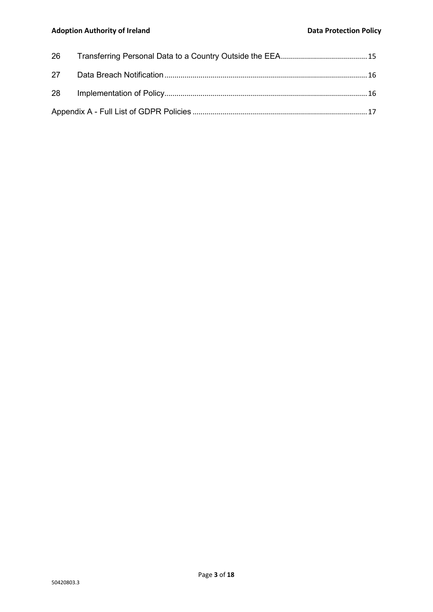#### Adoption Authority of Ireland **Data Protection Policy Data Protection Policy**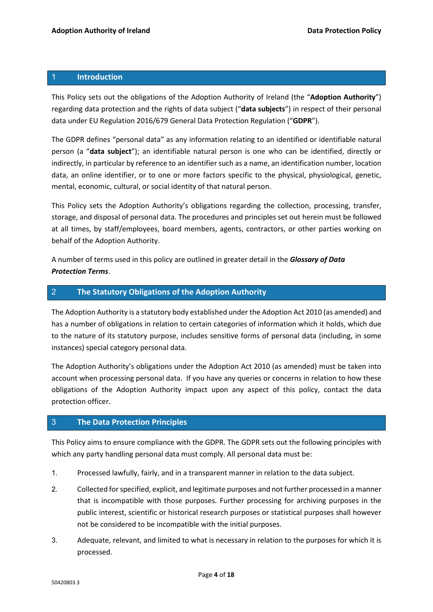#### 1 **Introduction**

This Policy sets out the obligations of the Adoption Authority of Ireland (the "**Adoption Authority**") regarding data protection and the rights of data subject ("**data subjects**") in respect of their personal data under EU Regulation 2016/679 General Data Protection Regulation ("**GDPR**").

The GDPR defines "personal data" as any information relating to an identified or identifiable natural person (a "**data subject**"); an identifiable natural person is one who can be identified, directly or indirectly, in particular by reference to an identifier such as a name, an identification number, location data, an online identifier, or to one or more factors specific to the physical, physiological, genetic, mental, economic, cultural, or social identity of that natural person.

This Policy sets the Adoption Authority's obligations regarding the collection, processing, transfer, storage, and disposal of personal data. The procedures and principles set out herein must be followed at all times, by staff/employees, board members, agents, contractors, or other parties working on behalf of the Adoption Authority.

A number of terms used in this policy are outlined in greater detail in the *Glossary of Data Protection Terms*.

# 2 **The Statutory Obligations of the Adoption Authority**

The Adoption Authority is a statutory body established under the Adoption Act 2010 (as amended) and has a number of obligations in relation to certain categories of information which it holds, which due to the nature of its statutory purpose, includes sensitive forms of personal data (including, in some instances) special category personal data.

The Adoption Authority's obligations under the Adoption Act 2010 (as amended) must be taken into account when processing personal data. If you have any queries or concerns in relation to how these obligations of the Adoption Authority impact upon any aspect of this policy, contact the data protection officer.

# 3 **The Data Protection Principles**

This Policy aims to ensure compliance with the GDPR. The GDPR sets out the following principles with which any party handling personal data must comply. All personal data must be:

- 1. Processed lawfully, fairly, and in a transparent manner in relation to the data subject.
- 2. Collected for specified, explicit, and legitimate purposes and not further processed in a manner that is incompatible with those purposes. Further processing for archiving purposes in the public interest, scientific or historical research purposes or statistical purposes shall however not be considered to be incompatible with the initial purposes.
- 3. Adequate, relevant, and limited to what is necessary in relation to the purposes for which it is processed.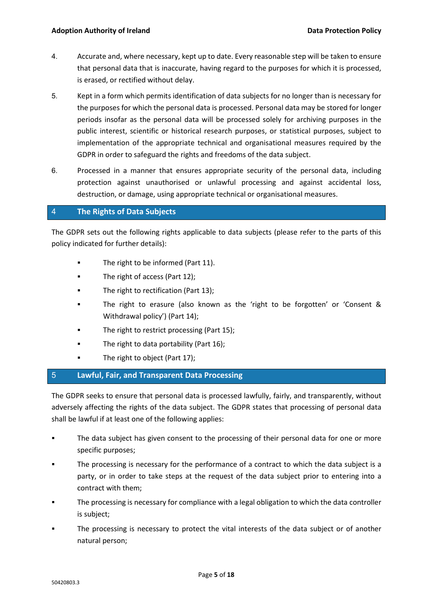- 4. Accurate and, where necessary, kept up to date. Every reasonable step will be taken to ensure that personal data that is inaccurate, having regard to the purposes for which it is processed, is erased, or rectified without delay.
- 5. Kept in a form which permits identification of data subjects for no longer than is necessary for the purposes for which the personal data is processed. Personal data may be stored for longer periods insofar as the personal data will be processed solely for archiving purposes in the public interest, scientific or historical research purposes, or statistical purposes, subject to implementation of the appropriate technical and organisational measures required by the GDPR in order to safeguard the rights and freedoms of the data subject.
- 6. Processed in a manner that ensures appropriate security of the personal data, including protection against unauthorised or unlawful processing and against accidental loss, destruction, or damage, using appropriate technical or organisational measures.

# 4 **The Rights of Data Subjects**

The GDPR sets out the following rights applicable to data subjects (please refer to the parts of this policy indicated for further details):

- **The right to be informed (Part 11).**
- The right of access (Part 12);
- **The right to rectification (Part 13);**
- The right to erasure (also known as the 'right to be forgotten' or 'Consent & Withdrawal policy') (Part 14);
- The right to restrict processing (Part 15);
- The right to data portability (Part 16);
- **The right to object (Part 17);**

# 5 **Lawful, Fair, and Transparent Data Processing**

The GDPR seeks to ensure that personal data is processed lawfully, fairly, and transparently, without adversely affecting the rights of the data subject. The GDPR states that processing of personal data shall be lawful if at least one of the following applies:

- The data subject has given consent to the processing of their personal data for one or more specific purposes;
- The processing is necessary for the performance of a contract to which the data subject is a party, or in order to take steps at the request of the data subject prior to entering into a contract with them;
- **The processing is necessary for compliance with a legal obligation to which the data controller** is subject;
- The processing is necessary to protect the vital interests of the data subject or of another natural person;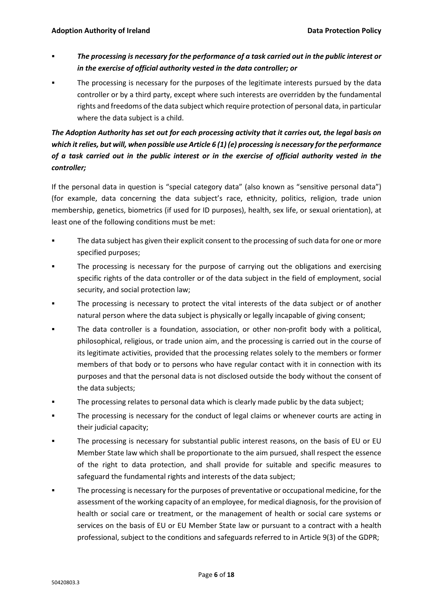- *The processing is necessary for the performance of a task carried out in the public interest or in the exercise of official authority vested in the data controller; or*
- The processing is necessary for the purposes of the legitimate interests pursued by the data controller or by a third party, except where such interests are overridden by the fundamental rights and freedoms of the data subject which require protection of personal data, in particular where the data subject is a child.

# *The Adoption Authority has set out for each processing activity that it carries out, the legal basis on which it relies, but will, when possible use Article 6 (1) (e) processing is necessary for the performance of a task carried out in the public interest or in the exercise of official authority vested in the controller;*

If the personal data in question is "special category data" (also known as "sensitive personal data") (for example, data concerning the data subject's race, ethnicity, politics, religion, trade union membership, genetics, biometrics (if used for ID purposes), health, sex life, or sexual orientation), at least one of the following conditions must be met:

- The data subject has given their explicit consent to the processing of such data for one or more specified purposes;
- The processing is necessary for the purpose of carrying out the obligations and exercising specific rights of the data controller or of the data subject in the field of employment, social security, and social protection law;
- The processing is necessary to protect the vital interests of the data subject or of another natural person where the data subject is physically or legally incapable of giving consent;
- The data controller is a foundation, association, or other non-profit body with a political, philosophical, religious, or trade union aim, and the processing is carried out in the course of its legitimate activities, provided that the processing relates solely to the members or former members of that body or to persons who have regular contact with it in connection with its purposes and that the personal data is not disclosed outside the body without the consent of the data subjects;
- **The processing relates to personal data which is clearly made public by the data subject;**
- **The processing is necessary for the conduct of legal claims or whenever courts are acting in** their judicial capacity;
- The processing is necessary for substantial public interest reasons, on the basis of EU or EU Member State law which shall be proportionate to the aim pursued, shall respect the essence of the right to data protection, and shall provide for suitable and specific measures to safeguard the fundamental rights and interests of the data subject;
- The processing is necessary for the purposes of preventative or occupational medicine, for the assessment of the working capacity of an employee, for medical diagnosis, for the provision of health or social care or treatment, or the management of health or social care systems or services on the basis of EU or EU Member State law or pursuant to a contract with a health professional, subject to the conditions and safeguards referred to in Article 9(3) of the GDPR;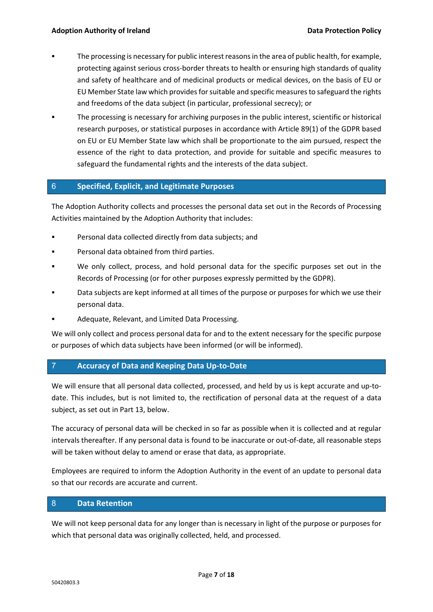- The processing is necessary for public interest reasons in the area of public health, for example, protecting against serious cross-border threats to health or ensuring high standards of quality and safety of healthcare and of medicinal products or medical devices, on the basis of EU or EU Member State law which provides for suitable and specific measures to safeguard the rights and freedoms of the data subject (in particular, professional secrecy); or
- The processing is necessary for archiving purposes in the public interest, scientific or historical research purposes, or statistical purposes in accordance with Article 89(1) of the GDPR based on EU or EU Member State law which shall be proportionate to the aim pursued, respect the essence of the right to data protection, and provide for suitable and specific measures to safeguard the fundamental rights and the interests of the data subject.

# 6 **Specified, Explicit, and Legitimate Purposes**

The Adoption Authority collects and processes the personal data set out in the Records of Processing Activities maintained by the Adoption Authority that includes:

- Personal data collected directly from data subjects; and
- Personal data obtained from third parties.
- We only collect, process, and hold personal data for the specific purposes set out in the Records of Processing (or for other purposes expressly permitted by the GDPR).
- Data subjects are kept informed at all times of the purpose or purposes for which we use their personal data.
- Adequate, Relevant, and Limited Data Processing.

We will only collect and process personal data for and to the extent necessary for the specific purpose or purposes of which data subjects have been informed (or will be informed).

# 7 **Accuracy of Data and Keeping Data Up-to-Date**

We will ensure that all personal data collected, processed, and held by us is kept accurate and up-todate. This includes, but is not limited to, the rectification of personal data at the request of a data subject, as set out in Part 13, below.

The accuracy of personal data will be checked in so far as possible when it is collected and at regular intervals thereafter. If any personal data is found to be inaccurate or out-of-date, all reasonable steps will be taken without delay to amend or erase that data, as appropriate.

Employees are required to inform the Adoption Authority in the event of an update to personal data so that our records are accurate and current.

# 8 **Data Retention**

We will not keep personal data for any longer than is necessary in light of the purpose or purposes for which that personal data was originally collected, held, and processed.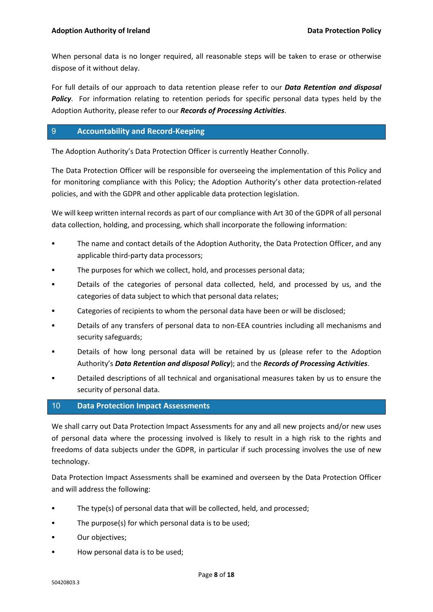When personal data is no longer required, all reasonable steps will be taken to erase or otherwise dispose of it without delay.

For full details of our approach to data retention please refer to our *Data Retention and disposal*  **Policy**. For information relating to retention periods for specific personal data types held by the Adoption Authority, please refer to our *Records of Processing Activities*.

# 9 **Accountability and Record-Keeping**

The Adoption Authority's Data Protection Officer is currently Heather Connolly.

The Data Protection Officer will be responsible for overseeing the implementation of this Policy and for monitoring compliance with this Policy; the Adoption Authority's other data protection-related policies, and with the GDPR and other applicable data protection legislation.

We will keep written internal records as part of our compliance with Art 30 of the GDPR of all personal data collection, holding, and processing, which shall incorporate the following information:

- The name and contact details of the Adoption Authority, the Data Protection Officer, and any applicable third-party data processors;
- The purposes for which we collect, hold, and processes personal data;
- Details of the categories of personal data collected, held, and processed by us, and the categories of data subject to which that personal data relates;
- Categories of recipients to whom the personal data have been or will be disclosed;
- Details of any transfers of personal data to non-EEA countries including all mechanisms and security safeguards;
- Details of how long personal data will be retained by us (please refer to the Adoption Authority's *Data Retention and disposal Policy*); and the *Records of Processing Activities*.
- Detailed descriptions of all technical and organisational measures taken by us to ensure the security of personal data.

#### 10 **Data Protection Impact Assessments**

We shall carry out Data Protection Impact Assessments for any and all new projects and/or new uses of personal data where the processing involved is likely to result in a high risk to the rights and freedoms of data subjects under the GDPR, in particular if such processing involves the use of new technology.

Data Protection Impact Assessments shall be examined and overseen by the Data Protection Officer and will address the following:

- The type(s) of personal data that will be collected, held, and processed;
- The purpose(s) for which personal data is to be used;
- **C**ur objectives;
- How personal data is to be used;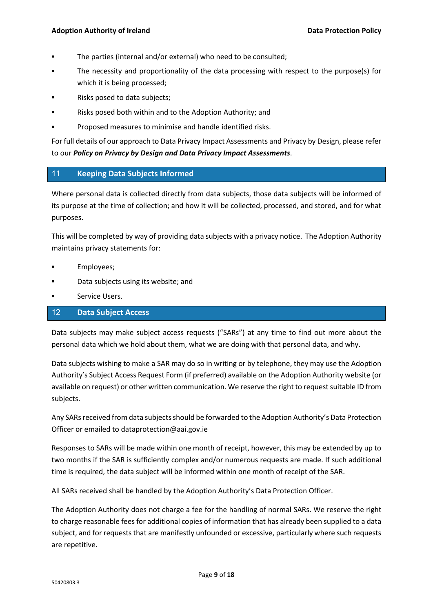- The parties (internal and/or external) who need to be consulted;
- The necessity and proportionality of the data processing with respect to the purpose(s) for which it is being processed;
- Risks posed to data subjects;
- Risks posed both within and to the Adoption Authority; and
- **Proposed measures to minimise and handle identified risks.**

For full details of our approach to Data Privacy Impact Assessments and Privacy by Design, please refer to our *Policy on Privacy by Design and Data Privacy Impact Assessments*.

# 11 **Keeping Data Subjects Informed**

Where personal data is collected directly from data subjects, those data subjects will be informed of its purpose at the time of collection; and how it will be collected, processed, and stored, and for what purposes.

This will be completed by way of providing data subjects with a privacy notice. The Adoption Authority maintains privacy statements for:

- **Employees**;
- Data subjects using its website; and
- Service Users.

#### 12 **Data Subject Access**

Data subjects may make subject access requests ("SARs") at any time to find out more about the personal data which we hold about them, what we are doing with that personal data, and why.

Data subjects wishing to make a SAR may do so in writing or by telephone, they may use the Adoption Authority's Subject Access Request Form (if preferred) available on the Adoption Authority website (or available on request) or other written communication. We reserve the right to request suitable ID from subjects.

Any SARs received from data subjects should be forwarded to the Adoption Authority's Data Protection Officer or emailed to dataprotection@aai.gov.ie

Responses to SARs will be made within one month of receipt, however, this may be extended by up to two months if the SAR is sufficiently complex and/or numerous requests are made. If such additional time is required, the data subject will be informed within one month of receipt of the SAR.

All SARs received shall be handled by the Adoption Authority's Data Protection Officer.

The Adoption Authority does not charge a fee for the handling of normal SARs. We reserve the right to charge reasonable fees for additional copies of information that has already been supplied to a data subject, and for requests that are manifestly unfounded or excessive, particularly where such requests are repetitive.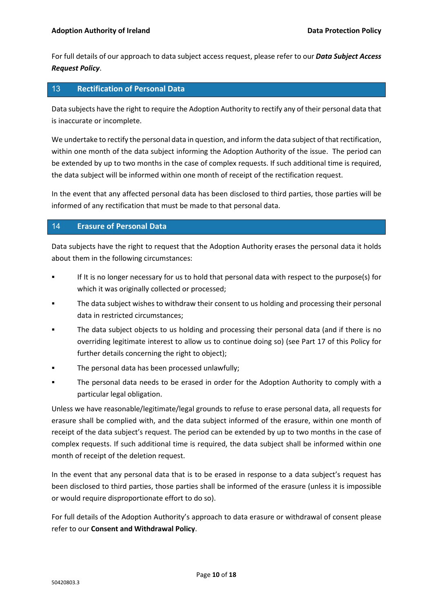For full details of our approach to data subject access request, please refer to our *Data Subject Access Request Policy*.

# 13 **Rectification of Personal Data**

Data subjects have the right to require the Adoption Authority to rectify any of their personal data that is inaccurate or incomplete.

We undertake to rectify the personal data in question, and inform the data subject of that rectification, within one month of the data subject informing the Adoption Authority of the issue. The period can be extended by up to two months in the case of complex requests. If such additional time is required, the data subject will be informed within one month of receipt of the rectification request.

In the event that any affected personal data has been disclosed to third parties, those parties will be informed of any rectification that must be made to that personal data.

#### 14 **Erasure of Personal Data**

Data subjects have the right to request that the Adoption Authority erases the personal data it holds about them in the following circumstances:

- If It is no longer necessary for us to hold that personal data with respect to the purpose(s) for which it was originally collected or processed;
- The data subject wishes to withdraw their consent to us holding and processing their personal data in restricted circumstances;
- The data subject objects to us holding and processing their personal data (and if there is no overriding legitimate interest to allow us to continue doing so) (see Part 17 of this Policy for further details concerning the right to object);
- The personal data has been processed unlawfully;
- The personal data needs to be erased in order for the Adoption Authority to comply with a particular legal obligation.

Unless we have reasonable/legitimate/legal grounds to refuse to erase personal data, all requests for erasure shall be complied with, and the data subject informed of the erasure, within one month of receipt of the data subject's request. The period can be extended by up to two months in the case of complex requests. If such additional time is required, the data subject shall be informed within one month of receipt of the deletion request.

In the event that any personal data that is to be erased in response to a data subject's request has been disclosed to third parties, those parties shall be informed of the erasure (unless it is impossible or would require disproportionate effort to do so).

For full details of the Adoption Authority's approach to data erasure or withdrawal of consent please refer to our **Consent and Withdrawal Policy**.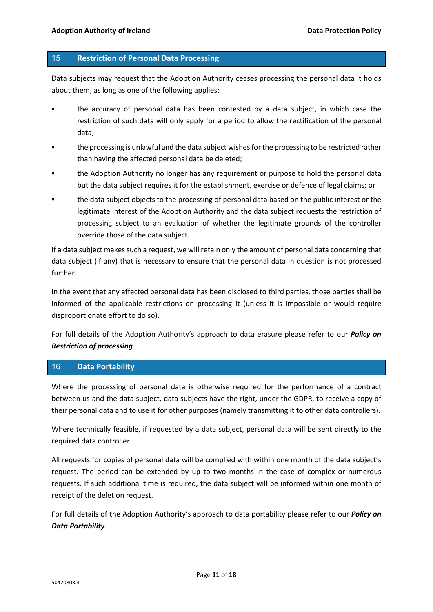#### 15 **Restriction of Personal Data Processing**

Data subjects may request that the Adoption Authority ceases processing the personal data it holds about them, as long as one of the following applies:

- the accuracy of personal data has been contested by a data subject, in which case the restriction of such data will only apply for a period to allow the rectification of the personal data;
- the processing is unlawful and the data subject wishes for the processing to be restricted rather than having the affected personal data be deleted;
- the Adoption Authority no longer has any requirement or purpose to hold the personal data but the data subject requires it for the establishment, exercise or defence of legal claims; or
- the data subject objects to the processing of personal data based on the public interest or the legitimate interest of the Adoption Authority and the data subject requests the restriction of processing subject to an evaluation of whether the legitimate grounds of the controller override those of the data subject.

If a data subject makes such a request, we will retain only the amount of personal data concerning that data subject (if any) that is necessary to ensure that the personal data in question is not processed further.

In the event that any affected personal data has been disclosed to third parties, those parties shall be informed of the applicable restrictions on processing it (unless it is impossible or would require disproportionate effort to do so).

For full details of the Adoption Authority's approach to data erasure please refer to our *Policy on Restriction of processing*.

# 16 **Data Portability**

Where the processing of personal data is otherwise required for the performance of a contract between us and the data subject, data subjects have the right, under the GDPR, to receive a copy of their personal data and to use it for other purposes (namely transmitting it to other data controllers).

Where technically feasible, if requested by a data subject, personal data will be sent directly to the required data controller.

All requests for copies of personal data will be complied with within one month of the data subject's request. The period can be extended by up to two months in the case of complex or numerous requests. If such additional time is required, the data subject will be informed within one month of receipt of the deletion request.

For full details of the Adoption Authority's approach to data portability please refer to our *Policy on Data Portability*.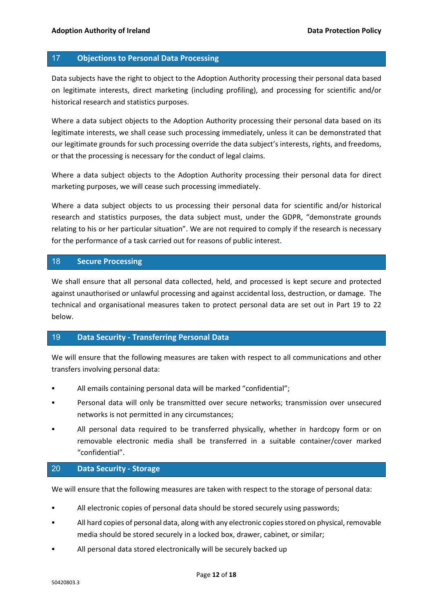#### 17 **Objections to Personal Data Processing**

Data subjects have the right to object to the Adoption Authority processing their personal data based on legitimate interests, direct marketing (including profiling), and processing for scientific and/or historical research and statistics purposes.

Where a data subject objects to the Adoption Authority processing their personal data based on its legitimate interests, we shall cease such processing immediately, unless it can be demonstrated that our legitimate grounds for such processing override the data subject's interests, rights, and freedoms, or that the processing is necessary for the conduct of legal claims.

Where a data subject objects to the Adoption Authority processing their personal data for direct marketing purposes, we will cease such processing immediately.

Where a data subject objects to us processing their personal data for scientific and/or historical research and statistics purposes, the data subject must, under the GDPR, "demonstrate grounds relating to his or her particular situation". We are not required to comply if the research is necessary for the performance of a task carried out for reasons of public interest.

#### 18 **Secure Processing**

We shall ensure that all personal data collected, held, and processed is kept secure and protected against unauthorised or unlawful processing and against accidental loss, destruction, or damage. The technical and organisational measures taken to protect personal data are set out in Part 19 to 22 below.

#### 19 **Data Security - Transferring Personal Data**

We will ensure that the following measures are taken with respect to all communications and other transfers involving personal data:

- All emails containing personal data will be marked "confidential";
- Personal data will only be transmitted over secure networks; transmission over unsecured networks is not permitted in any circumstances;
- All personal data required to be transferred physically, whether in hardcopy form or on removable electronic media shall be transferred in a suitable container/cover marked "confidential".

# 20 **Data Security - Storage**

We will ensure that the following measures are taken with respect to the storage of personal data:

- All electronic copies of personal data should be stored securely using passwords;
- All hard copies of personal data, along with any electronic copies stored on physical, removable media should be stored securely in a locked box, drawer, cabinet, or similar;
- All personal data stored electronically will be securely backed up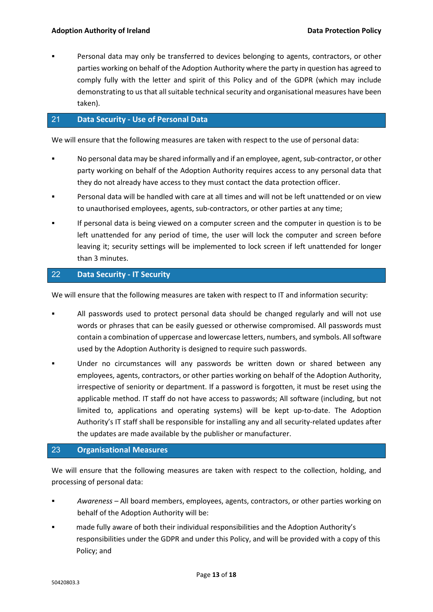Personal data may only be transferred to devices belonging to agents, contractors, or other parties working on behalf of the Adoption Authority where the party in question has agreed to comply fully with the letter and spirit of this Policy and of the GDPR (which may include demonstrating to us that all suitable technical security and organisational measures have been taken).

# 21 **Data Security - Use of Personal Data**

We will ensure that the following measures are taken with respect to the use of personal data:

- No personal data may be shared informally and if an employee, agent, sub-contractor, or other party working on behalf of the Adoption Authority requires access to any personal data that they do not already have access to they must contact the data protection officer.
- Personal data will be handled with care at all times and will not be left unattended or on view to unauthorised employees, agents, sub-contractors, or other parties at any time;
- If personal data is being viewed on a computer screen and the computer in question is to be left unattended for any period of time, the user will lock the computer and screen before leaving it; security settings will be implemented to lock screen if left unattended for longer than 3 minutes.

# 22 **Data Security - IT Security**

We will ensure that the following measures are taken with respect to IT and information security:

- All passwords used to protect personal data should be changed regularly and will not use words or phrases that can be easily guessed or otherwise compromised. All passwords must contain a combination of uppercase and lowercase letters, numbers, and symbols. All software used by the Adoption Authority is designed to require such passwords.
- Under no circumstances will any passwords be written down or shared between any employees, agents, contractors, or other parties working on behalf of the Adoption Authority, irrespective of seniority or department. If a password is forgotten, it must be reset using the applicable method. IT staff do not have access to passwords; All software (including, but not limited to, applications and operating systems) will be kept up-to-date. The Adoption Authority's IT staff shall be responsible for installing any and all security-related updates after the updates are made available by the publisher or manufacturer.

# 23 **Organisational Measures**

We will ensure that the following measures are taken with respect to the collection, holding, and processing of personal data:

- *Awareness* All board members, employees, agents, contractors, or other parties working on behalf of the Adoption Authority will be:
- made fully aware of both their individual responsibilities and the Adoption Authority's responsibilities under the GDPR and under this Policy, and will be provided with a copy of this Policy; and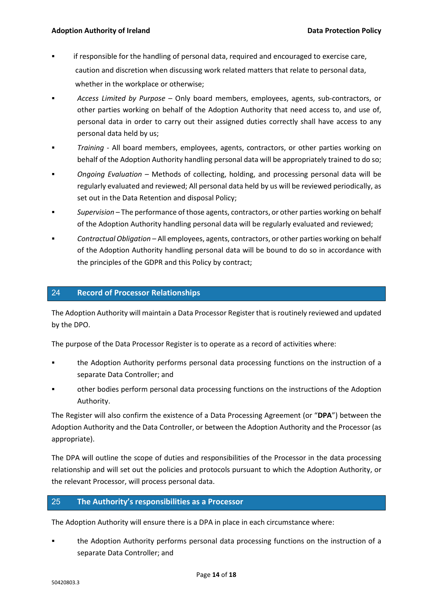- if responsible for the handling of personal data, required and encouraged to exercise care, caution and discretion when discussing work related matters that relate to personal data, whether in the workplace or otherwise;
- *Access Limited by Purpose* Only board members, employees, agents, sub-contractors, or other parties working on behalf of the Adoption Authority that need access to, and use of, personal data in order to carry out their assigned duties correctly shall have access to any personal data held by us;
- *Training*  All board members, employees, agents, contractors, or other parties working on behalf of the Adoption Authority handling personal data will be appropriately trained to do so;
- *Ongoing Evaluation* Methods of collecting, holding, and processing personal data will be regularly evaluated and reviewed; All personal data held by us will be reviewed periodically, as set out in the Data Retention and disposal Policy;
- *Supervision* The performance of those agents, contractors, or other parties working on behalf of the Adoption Authority handling personal data will be regularly evaluated and reviewed;
- *Contractual Obligation* All employees, agents, contractors, or other parties working on behalf of the Adoption Authority handling personal data will be bound to do so in accordance with the principles of the GDPR and this Policy by contract;

# 24 **Record of Processor Relationships**

The Adoption Authority will maintain a Data Processor Register that is routinely reviewed and updated by the DPO.

The purpose of the Data Processor Register is to operate as a record of activities where:

- the Adoption Authority performs personal data processing functions on the instruction of a separate Data Controller; and
- other bodies perform personal data processing functions on the instructions of the Adoption Authority.

The Register will also confirm the existence of a Data Processing Agreement (or "**DPA**") between the Adoption Authority and the Data Controller, or between the Adoption Authority and the Processor (as appropriate).

The DPA will outline the scope of duties and responsibilities of the Processor in the data processing relationship and will set out the policies and protocols pursuant to which the Adoption Authority, or the relevant Processor, will process personal data.

# 25 **The Authority's responsibilities as a Processor**

The Adoption Authority will ensure there is a DPA in place in each circumstance where:

 the Adoption Authority performs personal data processing functions on the instruction of a separate Data Controller; and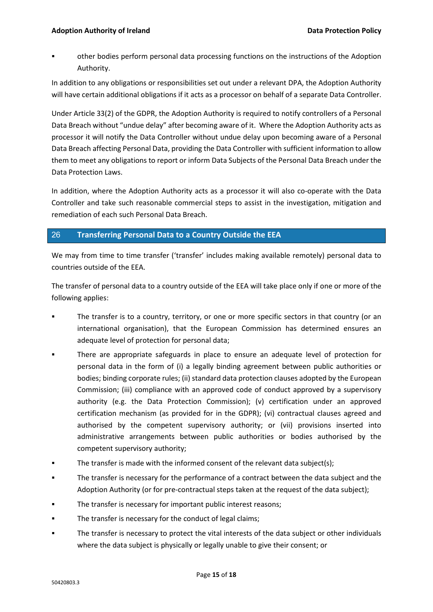other bodies perform personal data processing functions on the instructions of the Adoption Authority.

In addition to any obligations or responsibilities set out under a relevant DPA, the Adoption Authority will have certain additional obligations if it acts as a processor on behalf of a separate Data Controller.

Under Article 33(2) of the GDPR, the Adoption Authority is required to notify controllers of a Personal Data Breach without "undue delay" after becoming aware of it. Where the Adoption Authority acts as processor it will notify the Data Controller without undue delay upon becoming aware of a Personal Data Breach affecting Personal Data, providing the Data Controller with sufficient information to allow them to meet any obligations to report or inform Data Subjects of the Personal Data Breach under the Data Protection Laws.

In addition, where the Adoption Authority acts as a processor it will also co-operate with the Data Controller and take such reasonable commercial steps to assist in the investigation, mitigation and remediation of each such Personal Data Breach.

# 26 **Transferring Personal Data to a Country Outside the EEA**

We may from time to time transfer ('transfer' includes making available remotely) personal data to countries outside of the EEA.

The transfer of personal data to a country outside of the EEA will take place only if one or more of the following applies:

- The transfer is to a country, territory, or one or more specific sectors in that country (or an international organisation), that the European Commission has determined ensures an adequate level of protection for personal data;
- There are appropriate safeguards in place to ensure an adequate level of protection for personal data in the form of (i) a legally binding agreement between public authorities or bodies; binding corporate rules; (ii) standard data protection clauses adopted by the European Commission; (iii) compliance with an approved code of conduct approved by a supervisory authority (e.g. the Data Protection Commission); (v) certification under an approved certification mechanism (as provided for in the GDPR); (vi) contractual clauses agreed and authorised by the competent supervisory authority; or (vii) provisions inserted into administrative arrangements between public authorities or bodies authorised by the competent supervisory authority;
- The transfer is made with the informed consent of the relevant data subject(s);
- The transfer is necessary for the performance of a contract between the data subject and the Adoption Authority (or for pre-contractual steps taken at the request of the data subject);
- The transfer is necessary for important public interest reasons;
- **The transfer is necessary for the conduct of legal claims;**
- The transfer is necessary to protect the vital interests of the data subject or other individuals where the data subject is physically or legally unable to give their consent; or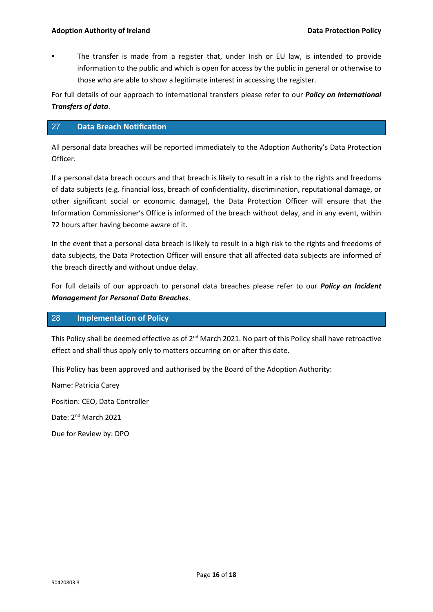The transfer is made from a register that, under Irish or EU law, is intended to provide information to the public and which is open for access by the public in general or otherwise to those who are able to show a legitimate interest in accessing the register.

For full details of our approach to international transfers please refer to our *Policy on International Transfers of data*.

# 27 **Data Breach Notification**

All personal data breaches will be reported immediately to the Adoption Authority's Data Protection Officer.

If a personal data breach occurs and that breach is likely to result in a risk to the rights and freedoms of data subjects (e.g. financial loss, breach of confidentiality, discrimination, reputational damage, or other significant social or economic damage), the Data Protection Officer will ensure that the Information Commissioner's Office is informed of the breach without delay, and in any event, within 72 hours after having become aware of it.

In the event that a personal data breach is likely to result in a high risk to the rights and freedoms of data subjects, the Data Protection Officer will ensure that all affected data subjects are informed of the breach directly and without undue delay.

For full details of our approach to personal data breaches please refer to our *Policy on Incident Management for Personal Data Breaches*.

# 28 **Implementation of Policy**

This Policy shall be deemed effective as of 2<sup>nd</sup> March 2021. No part of this Policy shall have retroactive effect and shall thus apply only to matters occurring on or after this date.

This Policy has been approved and authorised by the Board of the Adoption Authority:

Name: Patricia Carey Position: CEO, Data Controller Date: 2<sup>nd</sup> March 2021

Due for Review by: DPO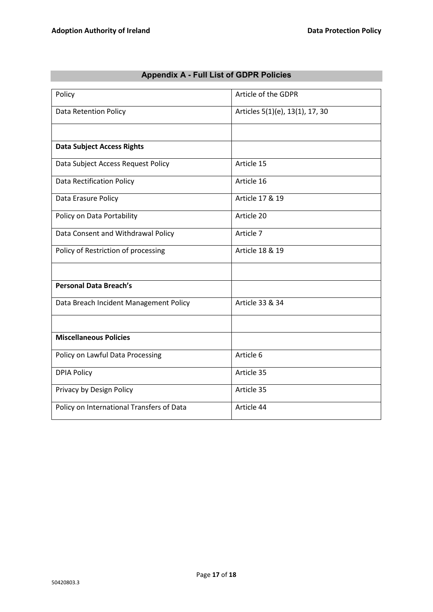| Policy                                    | Article of the GDPR             |  |  |
|-------------------------------------------|---------------------------------|--|--|
| <b>Data Retention Policy</b>              | Articles 5(1)(e), 13(1), 17, 30 |  |  |
|                                           |                                 |  |  |
| <b>Data Subject Access Rights</b>         |                                 |  |  |
| Data Subject Access Request Policy        | Article 15                      |  |  |
| <b>Data Rectification Policy</b>          | Article 16                      |  |  |
| Data Erasure Policy                       | Article 17 & 19                 |  |  |
| Policy on Data Portability                | Article 20                      |  |  |
| Data Consent and Withdrawal Policy        | Article 7                       |  |  |
| Policy of Restriction of processing       | Article 18 & 19                 |  |  |
|                                           |                                 |  |  |
| <b>Personal Data Breach's</b>             |                                 |  |  |
| Data Breach Incident Management Policy    | Article 33 & 34                 |  |  |
|                                           |                                 |  |  |
| <b>Miscellaneous Policies</b>             |                                 |  |  |
| Policy on Lawful Data Processing          | Article 6                       |  |  |
| <b>DPIA Policy</b>                        | Article 35                      |  |  |
| Privacy by Design Policy                  | Article 35                      |  |  |
| Policy on International Transfers of Data | Article 44                      |  |  |

# **Appendix A - Full List of GDPR Policies**